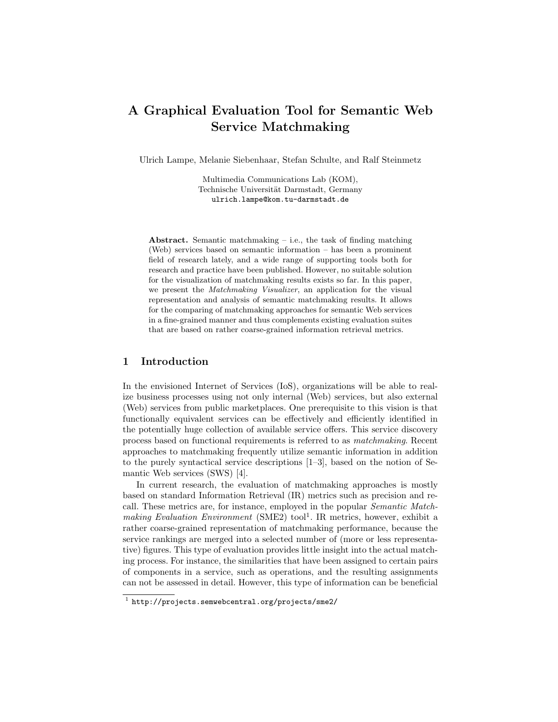# A Graphical Evaluation Tool for Semantic Web Service Matchmaking

Ulrich Lampe, Melanie Siebenhaar, Stefan Schulte, and Ralf Steinmetz

Multimedia Communications Lab (KOM), Technische Universität Darmstadt, Germany ulrich.lampe@kom.tu-darmstadt.de

Abstract. Semantic matchmaking  $-$  i.e., the task of finding matching (Web) services based on semantic information – has been a prominent field of research lately, and a wide range of supporting tools both for research and practice have been published. However, no suitable solution for the visualization of matchmaking results exists so far. In this paper, we present the Matchmaking Visualizer, an application for the visual representation and analysis of semantic matchmaking results. It allows for the comparing of matchmaking approaches for semantic Web services in a fine-grained manner and thus complements existing evaluation suites that are based on rather coarse-grained information retrieval metrics.

## 1 Introduction

In the envisioned Internet of Services (IoS), organizations will be able to realize business processes using not only internal (Web) services, but also external (Web) services from public marketplaces. One prerequisite to this vision is that functionally equivalent services can be effectively and efficiently identified in the potentially huge collection of available service offers. This service discovery process based on functional requirements is referred to as matchmaking. Recent approaches to matchmaking frequently utilize semantic information in addition to the purely syntactical service descriptions [1–3], based on the notion of Semantic Web services (SWS) [4].

In current research, the evaluation of matchmaking approaches is mostly based on standard Information Retrieval (IR) metrics such as precision and recall. These metrics are, for instance, employed in the popular Semantic Matchmaking Evaluation Environment (SME2) tool<sup>1</sup>. IR metrics, however, exhibit a rather coarse-grained representation of matchmaking performance, because the service rankings are merged into a selected number of (more or less representative) figures. This type of evaluation provides little insight into the actual matching process. For instance, the similarities that have been assigned to certain pairs of components in a service, such as operations, and the resulting assignments can not be assessed in detail. However, this type of information can be beneficial

<sup>1</sup> http://projects.semwebcentral.org/projects/sme2/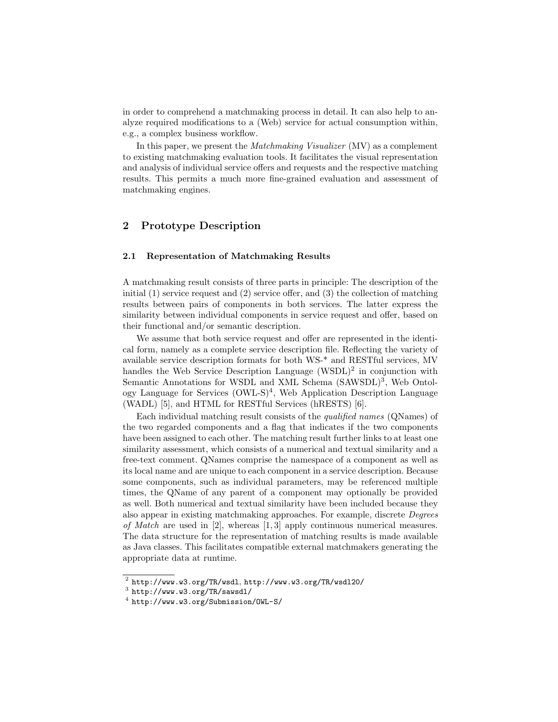in order to comprehend a matchmaking process in detail. It can also help to analyze required modifications to a (Web) service for actual consumption within, e.g., a complex business workflow.

In this paper, we present the Matchmaking Visualizer (MV) as a complement to existing matchmaking evaluation tools. It facilitates the visual representation and analysis of individual service offers and requests and the respective matching results. This permits a much more fine-grained evaluation and assessment of matchmaking engines.

## 2 Prototype Description

### 2.1 Representation of Matchmaking Results

A matchmaking result consists of three parts in principle: The description of the initial (1) service request and (2) service offer, and (3) the collection of matching results between pairs of components in both services. The latter express the similarity between individual components in service request and offer, based on their functional and/or semantic description.

We assume that both service request and offer are represented in the identical form, namely as a complete service description file. Reflecting the variety of available service description formats for both WS-\* and RESTful services, MV handles the Web Service Description Language (WSDL)<sup>2</sup> in conjunction with Semantic Annotations for WSDL and XML Schema (SAWSDL)<sup>3</sup>, Web Ontology Language for Services (OWL-S)<sup>4</sup> , Web Application Description Language (WADL) [5], and HTML for RESTful Services (hRESTS) [6].

Each individual matching result consists of the qualified names (QNames) of the two regarded components and a flag that indicates if the two components have been assigned to each other. The matching result further links to at least one similarity assessment, which consists of a numerical and textual similarity and a free-text comment. QNames comprise the namespace of a component as well as its local name and are unique to each component in a service description. Because some components, such as individual parameters, may be referenced multiple times, the QName of any parent of a component may optionally be provided as well. Both numerical and textual similarity have been included because they also appear in existing matchmaking approaches. For example, discrete Degrees of Match are used in [2], whereas [1, 3] apply continuous numerical measures. The data structure for the representation of matching results is made available as Java classes. This facilitates compatible external matchmakers generating the appropriate data at runtime.

 $^2$  http://www.w3.org/TR/wsdl, http://www.w3.org/TR/wsdl20/

 $^3$  http://www.w3.org/TR/sawsdl/

<sup>4</sup> http://www.w3.org/Submission/OWL-S/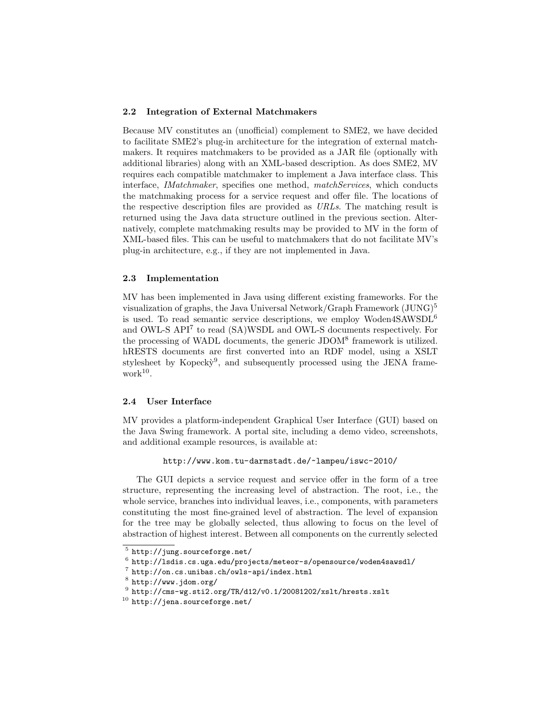#### 2.2 Integration of External Matchmakers

Because MV constitutes an (unofficial) complement to SME2, we have decided to facilitate SME2's plug-in architecture for the integration of external matchmakers. It requires matchmakers to be provided as a JAR file (optionally with additional libraries) along with an XML-based description. As does SME2, MV requires each compatible matchmaker to implement a Java interface class. This interface, *IMatchmaker*, specifies one method, *matchServices*, which conducts the matchmaking process for a service request and offer file. The locations of the respective description files are provided as URLs. The matching result is returned using the Java data structure outlined in the previous section. Alternatively, complete matchmaking results may be provided to MV in the form of XML-based files. This can be useful to matchmakers that do not facilitate MV's plug-in architecture, e.g., if they are not implemented in Java.

#### 2.3 Implementation

MV has been implemented in Java using different existing frameworks. For the visualization of graphs, the Java Universal Network/Graph Framework  $(\rm JUNG)^5$ is used. To read semantic service descriptions, we employ Woden4SAWSDL<sup>6</sup> and OWL-S API<sup>7</sup> to read (SA)WSDL and OWL-S documents respectively. For the processing of WADL documents, the generic JDOM<sup>8</sup> framework is utilized. hRESTS documents are first converted into an RDF model, using a XSLT stylesheet by Kopecky<sup>9</sup>, and subsequently processed using the JENA framework<sup>10</sup> .

#### 2.4 User Interface

MV provides a platform-independent Graphical User Interface (GUI) based on the Java Swing framework. A portal site, including a demo video, screenshots, and additional example resources, is available at:

http://www.kom.tu-darmstadt.de/~lampeu/iswc-2010/

The GUI depicts a service request and service offer in the form of a tree structure, representing the increasing level of abstraction. The root, i.e., the whole service, branches into individual leaves, i.e., components, with parameters constituting the most fine-grained level of abstraction. The level of expansion for the tree may be globally selected, thus allowing to focus on the level of abstraction of highest interest. Between all components on the currently selected

<sup>5</sup> http://jung.sourceforge.net/

 $^6$  http://lsdis.cs.uga.edu/projects/meteor-s/opensource/woden4sawsdl/

<sup>7</sup> http://on.cs.unibas.ch/owls-api/index.html

 $8$  http://www.jdom.org/

 $^9$ http:// $\texttt{cms-wg.sti2.org/TR/d12/v0.1/20081202/xslt/hrests.xslt}$ 

<sup>10</sup> http://jena.sourceforge.net/